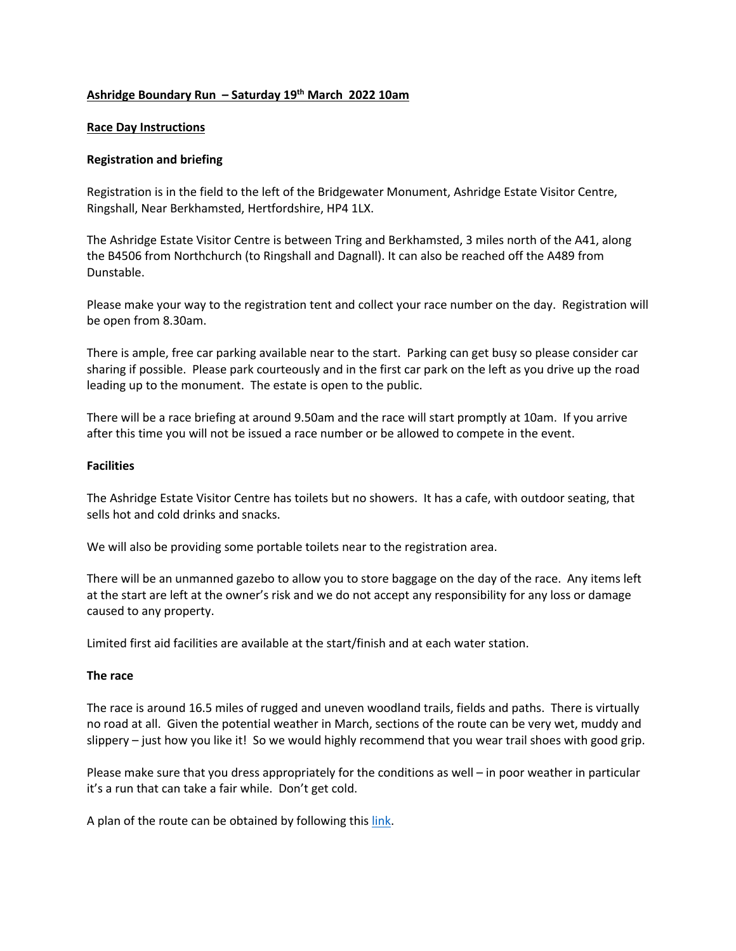# **Ashridge Boundary Run – Saturday 19th March 2022 10am**

#### **Race Day Instructions**

### **Registration and briefing**

Registration is in the field to the left of the Bridgewater Monument, Ashridge Estate Visitor Centre, Ringshall, Near Berkhamsted, Hertfordshire, HP4 1LX.

The Ashridge Estate Visitor Centre is between Tring and Berkhamsted, 3 miles north of the A41, along the B4506 from Northchurch (to Ringshall and Dagnall). It can also be reached off the A489 from Dunstable.

Please make your way to the registration tent and collect your race number on the day. Registration will be open from 8.30am.

There is ample, free car parking available near to the start. Parking can get busy so please consider car sharing if possible. Please park courteously and in the first car park on the left as you drive up the road leading up to the monument. The estate is open to the public.

There will be a race briefing at around 9.50am and the race will start promptly at 10am. If you arrive after this time you will not be issued a race number or be allowed to compete in the event.

#### **Facilities**

The Ashridge Estate Visitor Centre has toilets but no showers. It has a cafe, with outdoor seating, that sells hot and cold drinks and snacks.

We will also be providing some portable toilets near to the registration area.

There will be an unmanned gazebo to allow you to store baggage on the day of the race. Any items left at the start are left at the owner's risk and we do not accept any responsibility for any loss or damage caused to any property.

Limited first aid facilities are available at the start/finish and at each water station.

#### **The race**

The race is around 16.5 miles of rugged and uneven woodland trails, fields and paths. There is virtually no road at all. Given the potential weather in March, sections of the route can be very wet, muddy and slippery – just how you like it! So we would highly recommend that you wear trail shoes with good grip.

Please make sure that you dress appropriately for the conditions as well – in poor weather in particular it's a run that can take a fair while. Don't get cold.

A plan of the route can be obtained by following this link.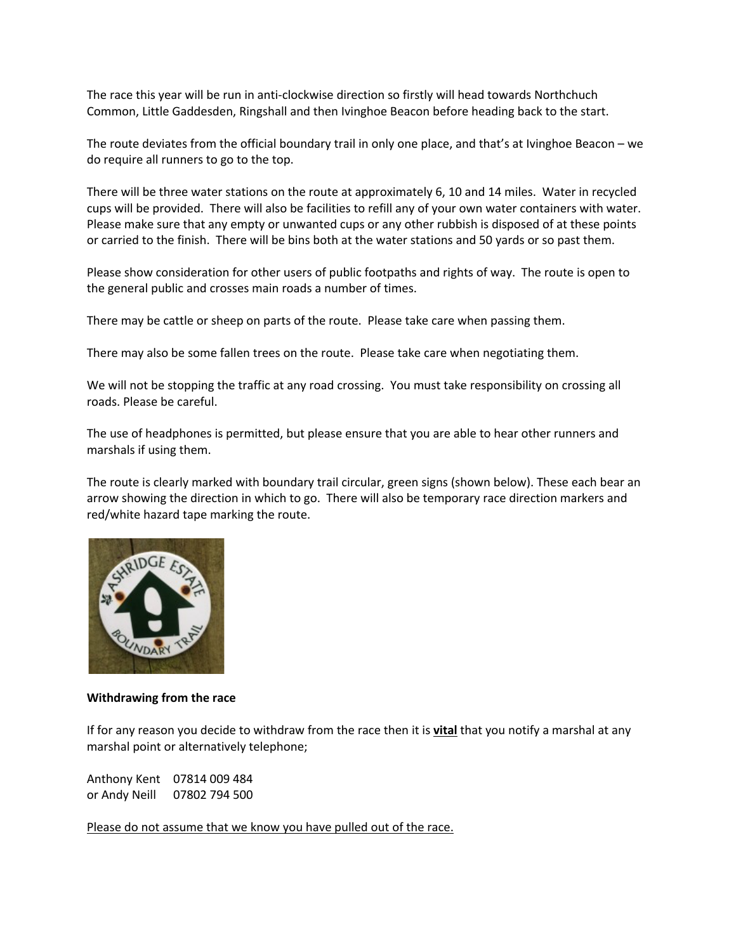The race this year will be run in anti-clockwise direction so firstly will head towards Northchuch Common, Little Gaddesden, Ringshall and then Ivinghoe Beacon before heading back to the start.

The route deviates from the official boundary trail in only one place, and that's at Ivinghoe Beacon – we do require all runners to go to the top.

There will be three water stations on the route at approximately 6, 10 and 14 miles. Water in recycled cups will be provided. There will also be facilities to refill any of your own water containers with water. Please make sure that any empty or unwanted cups or any other rubbish is disposed of at these points or carried to the finish. There will be bins both at the water stations and 50 yards or so past them.

Please show consideration for other users of public footpaths and rights of way. The route is open to the general public and crosses main roads a number of times.

There may be cattle or sheep on parts of the route. Please take care when passing them.

There may also be some fallen trees on the route. Please take care when negotiating them.

We will not be stopping the traffic at any road crossing. You must take responsibility on crossing all roads. Please be careful.

The use of headphones is permitted, but please ensure that you are able to hear other runners and marshals if using them.

The route is clearly marked with boundary trail circular, green signs (shown below). These each bear an arrow showing the direction in which to go. There will also be temporary race direction markers and red/white hazard tape marking the route.



#### **Withdrawing from the race**

If for any reason you decide to withdraw from the race then it is **vital** that you notify a marshal at any marshal point or alternatively telephone;

Anthony Kent 07814 009 484 or Andy Neill 07802 794 500

Please do not assume that we know you have pulled out of the race.